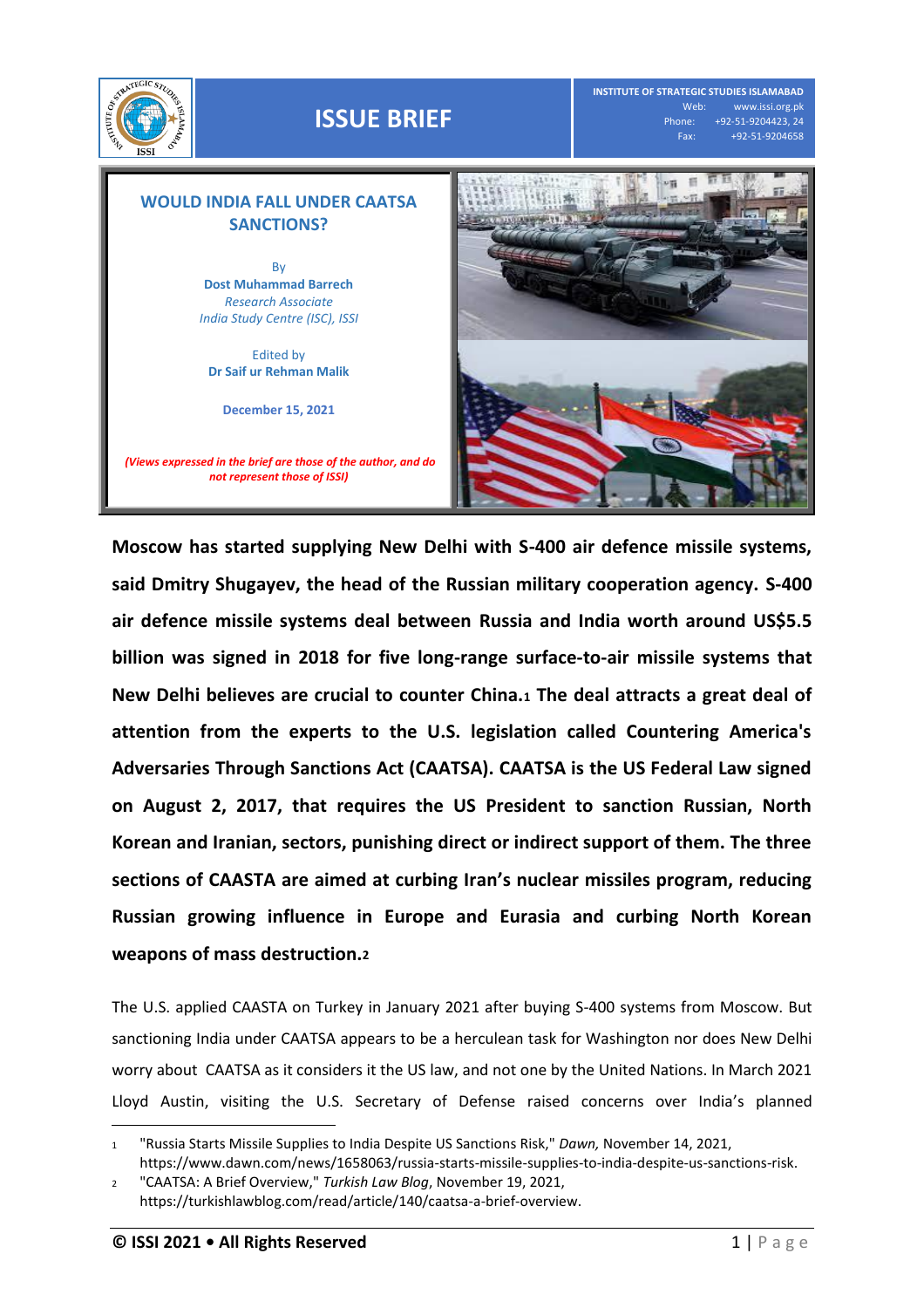



**Moscow has started supplying New Delhi with S-400 air defence missile systems, said Dmitry Shugayev, the head of the Russian military cooperation agency. S-400 air defence missile systems deal between Russia and India worth around US\$5.5 billion was signed in 2018 for five long-range surface-to-air missile systems that New Delhi believes are crucial to counter China.<sup>1</sup> The deal attracts a great deal of attention from the experts to the U.S. legislation called Countering America's Adversaries Through Sanctions Act (CAATSA). CAATSA is the US Federal Law signed on August 2, 2017, that requires the US President to sanction Russian, North Korean and Iranian, sectors, punishing direct or indirect support of them. The three sections of CAASTA are aimed at curbing Iran's nuclear missiles program, reducing Russian growing influence in Europe and Eurasia and curbing North Korean weapons of mass destruction.<sup>2</sup>**

The U.S. applied CAASTA on Turkey in January 2021 after buying S-400 systems from Moscow. But sanctioning India under CAATSA appears to be a herculean task for Washington nor does New Delhi worry about CAATSA as it considers it the US law, and not one by the United Nations. In March 2021 Lloyd Austin, visiting the U.S. Secretary of Defense raised concerns over India's planned

 $\overline{a}$ 

<sup>1</sup> "Russia Starts Missile Supplies to India Despite US Sanctions Risk," *Dawn,* November 14, 2021, [https://www.dawn.com/news/1658063/russia-starts-missile-supplies-to-india-despite-us-sanctions-risk.](https://www.dawn.com/news/1658063/russia-starts-missile-supplies-to-india-despite-us-sanctions-risk) 

<sup>2</sup> "CAATSA: A Brief Overview," *Turkish Law Blog*, November 19, 2021, [https://turkishlawblog.com/read/article/140/caatsa-a-brief-overview.](https://turkishlawblog.com/read/article/140/caatsa-a-brief-overview)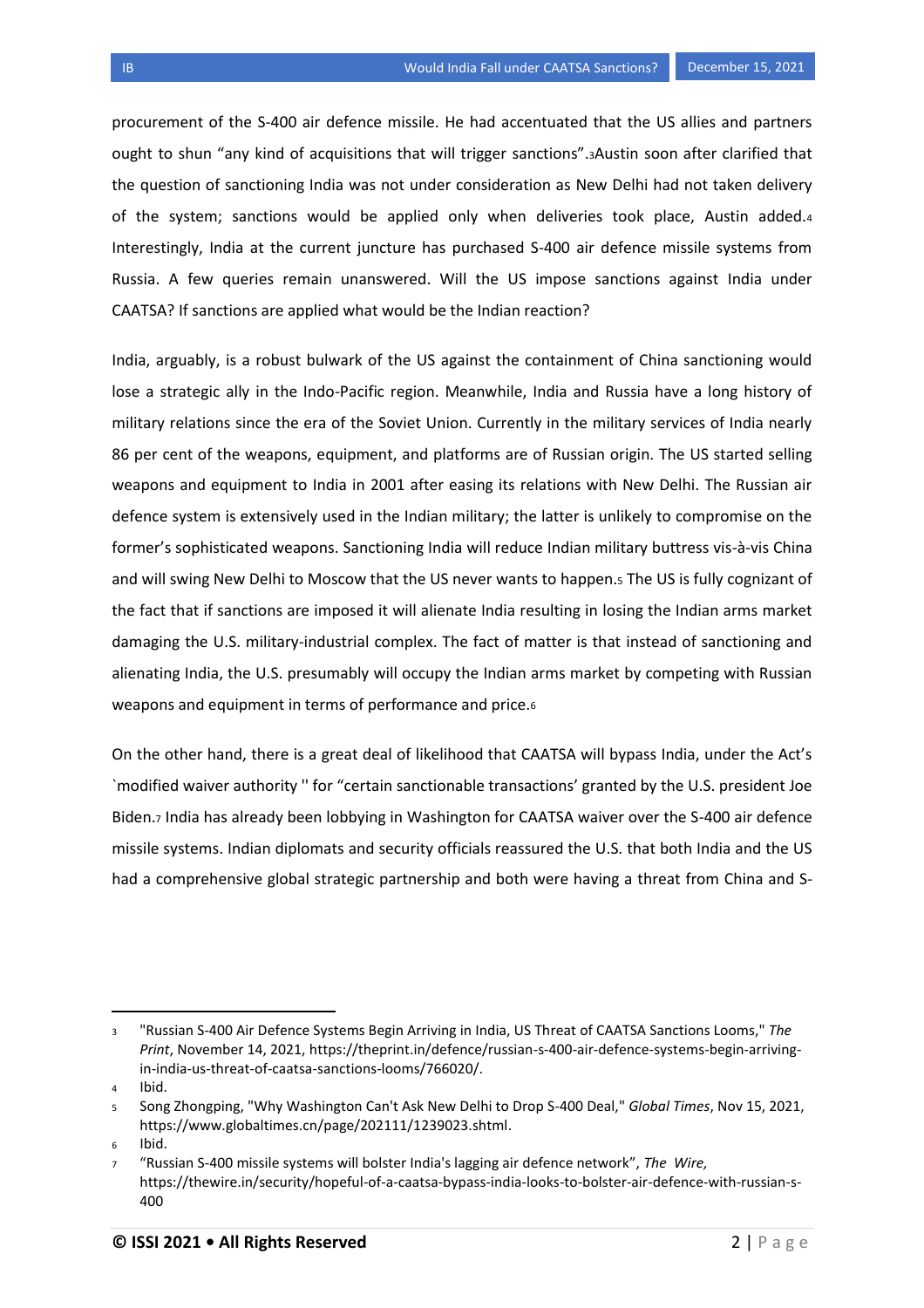procurement of the S-400 air defence missile. He had accentuated that the US allies and partners ought to shun "any kind of acquisitions that will trigger sanctions".3Austin soon after clarified that the question of sanctioning India was not under consideration as New Delhi had not taken delivery of the system; sanctions would be applied only when deliveries took place, Austin added.<sup>4</sup> Interestingly, India at the current juncture has purchased S-400 air defence missile systems from Russia. A few queries remain unanswered. Will the US impose sanctions against India under CAATSA? If sanctions are applied what would be the Indian reaction?

India, arguably, is a robust bulwark of the US against the containment of China sanctioning would lose a strategic ally in the Indo-Pacific region. Meanwhile, India and Russia have a long history of military relations since the era of the Soviet Union. Currently in the military services of India nearly 86 per cent of the weapons, equipment, and platforms are of Russian origin. The US started selling weapons and equipment to India in 2001 after easing its relations with New Delhi. The Russian air defence system is extensively used in the Indian military; the latter is unlikely to compromise on the former's sophisticated weapons. Sanctioning India will reduce Indian military buttress vis-à-vis China and will swing New Delhi to Moscow that the US never wants to happen.<sup>5</sup> The US is fully cognizant of the fact that if sanctions are imposed it will alienate India resulting in losing the Indian arms market damaging the U.S. military-industrial complex. The fact of matter is that instead of sanctioning and alienating India, the U.S. presumably will occupy the Indian arms market by competing with Russian weapons and equipment in terms of performance and price.<sup>6</sup>

On the other hand, there is a great deal of likelihood that CAATSA will bypass India, under the Act's `modified waiver authority '' for "certain sanctionable transactions' granted by the U.S. president Joe Biden.<sup>7</sup> India has already been lobbying in Washington for CAATSA waiver over the S-400 air defence missile systems. Indian diplomats and security officials reassured the U.S. that both India and the US had a comprehensive global strategic partnership and both were having a threat from China and S-

l

<sup>3</sup> "Russian S-400 Air Defence Systems Begin Arriving in India, US Threat of CAATSA Sanctions Looms," *The Print*, November 14, 2021, [https://theprint.in/defence/russian-s-400-air-defence-systems-begin-arriving](https://theprint.in/defence/russian-s-400-air-defence-systems-begin-arriving-in-india-us-threat-of-caatsa-sanctions-looms/766020/)[in-india-us-threat-of-caatsa-sanctions-looms/766020/.](https://theprint.in/defence/russian-s-400-air-defence-systems-begin-arriving-in-india-us-threat-of-caatsa-sanctions-looms/766020/)

<sup>4</sup> Ibid.

<sup>5</sup> Song Zhongping, "Why Washington Can't Ask New Delhi to Drop S-400 Deal," *Global Times*, Nov 15, 2021, [https://www.globaltimes.cn/page/202111/1239023.shtml.](https://www.globaltimes.cn/page/202111/1239023.shtml)

<sup>6</sup> Ibid.

<sup>7</sup> "Russian S-400 missile systems will bolster India's lagging air defence network", *The Wire,* [https://thewire.in/security/hopeful-of-a-caatsa-bypass-india-looks-to-bolster-air-defence-with-russian-s-](https://thewire.in/security/hopeful-of-a-caatsa-bypass-india-looks-to-bolster-air-defence-with-russian-s-400)[400](https://thewire.in/security/hopeful-of-a-caatsa-bypass-india-looks-to-bolster-air-defence-with-russian-s-400)